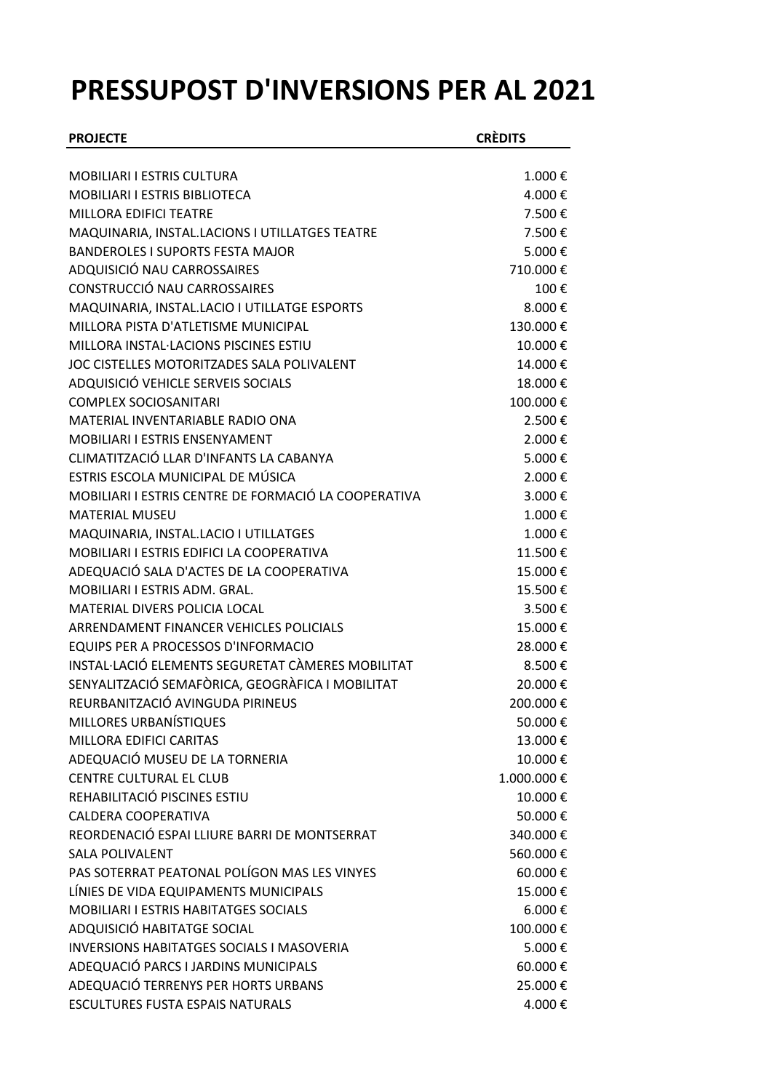## **PRESSUPOST D'INVERSIONS PER AL 2021**

| <b>PROJECTE</b>                                                                           | <b>CRÈDITS</b>   |
|-------------------------------------------------------------------------------------------|------------------|
|                                                                                           |                  |
| <b>MOBILIARI I ESTRIS CULTURA</b>                                                         | 1.000€           |
| <b>MOBILIARI I ESTRIS BIBLIOTECA</b><br>MILLORA EDIFICI TEATRE                            | 4.000€<br>7.500€ |
|                                                                                           | 7.500€           |
| MAQUINARIA, INSTAL.LACIONS I UTILLATGES TEATRE<br><b>BANDEROLES I SUPORTS FESTA MAJOR</b> | 5.000€           |
| ADQUISICIÓ NAU CARROSSAIRES                                                               | 710.000€         |
| CONSTRUCCIÓ NAU CARROSSAIRES                                                              | 100€             |
| MAQUINARIA, INSTAL.LACIO I UTILLATGE ESPORTS                                              | 8.000€           |
| MILLORA PISTA D'ATLETISME MUNICIPAL                                                       | 130.000€         |
| MILLORA INSTAL·LACIONS PISCINES ESTIU                                                     | 10.000€          |
| JOC CISTELLES MOTORITZADES SALA POLIVALENT                                                | 14.000€          |
| ADQUISICIÓ VEHICLE SERVEIS SOCIALS                                                        | 18.000€          |
| <b>COMPLEX SOCIOSANITARI</b>                                                              | 100.000€         |
| MATERIAL INVENTARIABLE RADIO ONA                                                          | 2.500€           |
| MOBILIARI I ESTRIS ENSENYAMENT                                                            | 2.000€           |
| CLIMATITZACIÓ LLAR D'INFANTS LA CABANYA                                                   | 5.000€           |
| ESTRIS ESCOLA MUNICIPAL DE MÚSICA                                                         | 2.000€           |
| MOBILIARI I ESTRIS CENTRE DE FORMACIÓ LA COOPERATIVA                                      | 3.000€           |
| <b>MATERIAL MUSEU</b>                                                                     | 1.000€           |
| MAQUINARIA, INSTAL.LACIO I UTILLATGES                                                     | 1.000€           |
| MOBILIARI I ESTRIS EDIFICI LA COOPERATIVA                                                 | 11.500€          |
| ADEQUACIÓ SALA D'ACTES DE LA COOPERATIVA                                                  | 15.000€          |
| <b>MOBILIARI I ESTRIS ADM. GRAL.</b>                                                      | 15.500€          |
| <b>MATERIAL DIVERS POLICIA LOCAL</b>                                                      | 3.500€           |
| ARRENDAMENT FINANCER VEHICLES POLICIALS                                                   | 15.000€          |
| EQUIPS PER A PROCESSOS D'INFORMACIO                                                       | 28.000€          |
| INSTAL·LACIÓ ELEMENTS SEGURETAT CÀMERES MOBILITAT                                         | 8.500€           |
| SENYALITZACIÓ SEMAFÒRICA, GEOGRÀFICA I MOBILITAT                                          | 20.000€          |
| REURBANITZACIÓ AVINGUDA PIRINEUS                                                          | 200.000 €        |
| MILLORES URBANÍSTIQUES                                                                    | 50.000€          |
| MILLORA EDIFICI CARITAS                                                                   | 13.000€          |
| ADEQUACIÓ MUSEU DE LA TORNERIA                                                            | 10.000€          |
| <b>CENTRE CULTURAL EL CLUB</b>                                                            | 1.000.000€       |
| REHABILITACIÓ PISCINES ESTIU                                                              | 10.000€          |
| CALDERA COOPERATIVA                                                                       | 50.000€          |
| REORDENACIÓ ESPAI LLIURE BARRI DE MONTSERRAT                                              | 340.000€         |
| <b>SALA POLIVALENT</b>                                                                    | 560.000€         |
| PAS SOTERRAT PEATONAL POLÍGON MAS LES VINYES                                              | 60.000€          |
| LÍNIES DE VIDA EQUIPAMENTS MUNICIPALS                                                     | 15.000€          |
| <b>MOBILIARI I ESTRIS HABITATGES SOCIALS</b>                                              | 6.000 €          |
| ADQUISICIÓ HABITATGE SOCIAL                                                               | 100.000€         |
| <b>INVERSIONS HABITATGES SOCIALS I MASOVERIA</b>                                          | 5.000€           |
| ADEQUACIÓ PARCS I JARDINS MUNICIPALS                                                      | 60.000€          |
| ADEQUACIÓ TERRENYS PER HORTS URBANS                                                       | 25.000€          |
| <b>ESCULTURES FUSTA ESPAIS NATURALS</b>                                                   | 4.000€           |